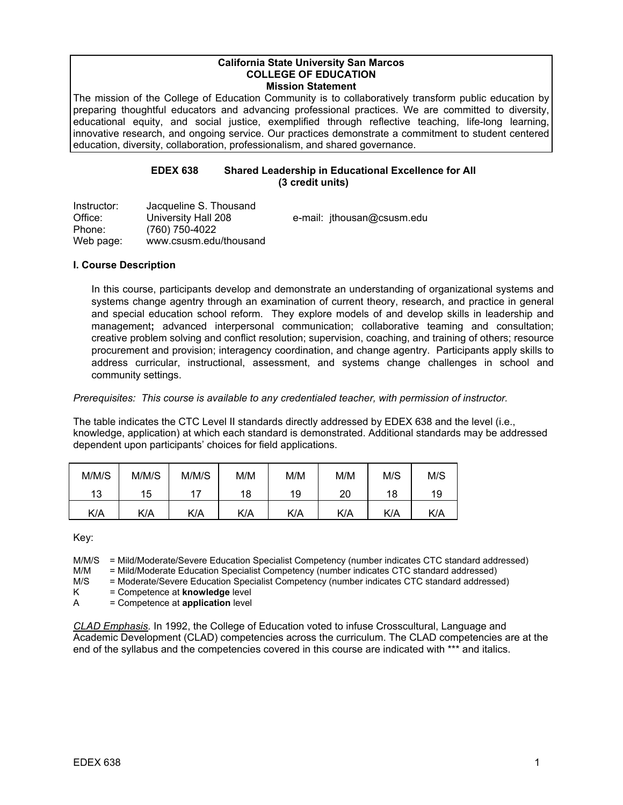#### **California State University San Marcos COLLEGE OF EDUCATION Mission Statement**

The mission of the College of Education Community is to collaboratively transform public education by preparing thoughtful educators and advancing professional practices. We are committed to diversity, educational equity, and social justice, exemplified through reflective teaching, life-long learning, innovative research, and ongoing service. Our practices demonstrate a commitment to student centered education, diversity, collaboration, professionalism, and shared governance.

### **EDEX 638 Shared Leadership in Educational Excellence for All (3 credit units)**

| Instructor: | Jacqueline S. Thousand |                            |
|-------------|------------------------|----------------------------|
| Office:     | University Hall 208    | e-mail: ithousan@csusm.edu |
| Phone:      | (760) 750-4022         |                            |
| Web page:   | www.csusm.edu/thousand |                            |

### **I. Course Description**

In this course, participants develop and demonstrate an understanding of organizational systems and systems change agentry through an examination of current theory, research, and practice in general and special education school reform. They explore models of and develop skills in leadership and management**;** advanced interpersonal communication; collaborative teaming and consultation; creative problem solving and conflict resolution; supervision, coaching, and training of others; resource procurement and provision; interagency coordination, and change agentry. Participants apply skills to address curricular, instructional, assessment, and systems change challenges in school and community settings.

### *Prerequisites: This course is available to any credentialed teacher, with permission of instructor.*

The table indicates the CTC Level II standards directly addressed by EDEX 638 and the level (i.e., knowledge, application) at which each standard is demonstrated. Additional standards may be addressed dependent upon participants' choices for field applications.

| M/M/S | M/M/S | M/M/S | M/M | M/M | M/M | M/S | M/S |
|-------|-------|-------|-----|-----|-----|-----|-----|
| 13    | 15    |       | 18  | 19  | 20  | 18  | 19  |
| K/A   | K/A   | K/A   | K/A | K/A | K/A | K/A | K/A |

Key:

M/M/S = Mild/Moderate/Severe Education Specialist Competency (number indicates CTC standard addressed)

M/M = Mild/Moderate Education Specialist Competency (number indicates CTC standard addressed)<br>M/S = Moderate/Severe Education Specialist Competency (number indicates CTC standard addresse

= Moderate/Severe Education Specialist Competency (number indicates CTC standard addressed)

K = Competence at **knowledge** level

A = Competence at **application** level

*CLAD Emphasis.* In 1992, the College of Education voted to infuse Crosscultural, Language and Academic Development (CLAD) competencies across the curriculum. The CLAD competencies are at the end of the syllabus and the competencies covered in this course are indicated with \*\*\* and italics.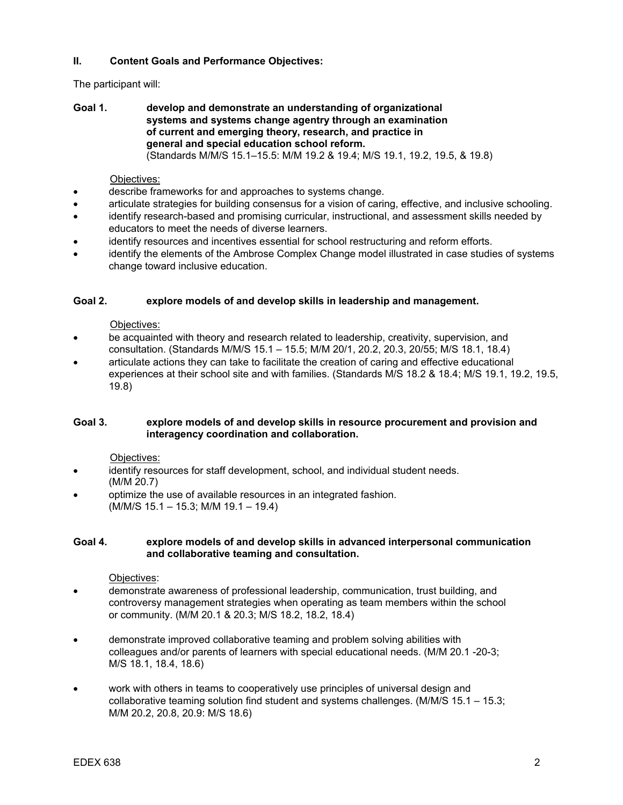### **II. Content Goals and Performance Objectives:**

### The participant will:

**Goal 1. develop and demonstrate an understanding of organizational systems and systems change agentry through an examination of current and emerging theory, research, and practice in general and special education school reform.**  (Standards M/M/S 15.1–15.5: M/M 19.2 & 19.4; M/S 19.1, 19.2, 19.5, & 19.8)

### Objectives:

- describe frameworks for and approaches to systems change.
- articulate strategies for building consensus for a vision of caring, effective, and inclusive schooling.
- identify research-based and promising curricular, instructional, and assessment skills needed by educators to meet the needs of diverse learners.
- identify resources and incentives essential for school restructuring and reform efforts.
- identify the elements of the Ambrose Complex Change model illustrated in case studies of systems change toward inclusive education.

### **Goal 2. explore models of and develop skills in leadership and management.**

### Objectives:

- be acquainted with theory and research related to leadership, creativity, supervision, and consultation. (Standards M/M/S 15.1 – 15.5; M/M 20/1, 20.2, 20.3, 20/55; M/S 18.1, 18.4)
- articulate actions they can take to facilitate the creation of caring and effective educational experiences at their school site and with families. (Standards M/S 18.2 & 18.4; M/S 19.1, 19.2, 19.5, 19.8)

### **Goal 3. explore models of and develop skills in resource procurement and provision and interagency coordination and collaboration.**

### Objectives:

- identify resources for staff development, school, and individual student needs. (M/M 20.7)
- optimize the use of available resources in an integrated fashion. (M/M/S 15.1 – 15.3; M/M 19.1 – 19.4)

### **Goal 4. explore models of and develop skills in advanced interpersonal communication and collaborative teaming and consultation.**

### Objectives:

- demonstrate awareness of professional leadership, communication, trust building, and controversy management strategies when operating as team members within the school or community. (M/M 20.1 & 20.3; M/S 18.2, 18.2, 18.4)
- demonstrate improved collaborative teaming and problem solving abilities with colleagues and/or parents of learners with special educational needs. (M/M 20.1 -20-3; M/S 18.1, 18.4, 18.6)
- work with others in teams to cooperatively use principles of universal design and collaborative teaming solution find student and systems challenges. (M/M/S 15.1 – 15.3; M/M 20.2, 20.8, 20.9: M/S 18.6)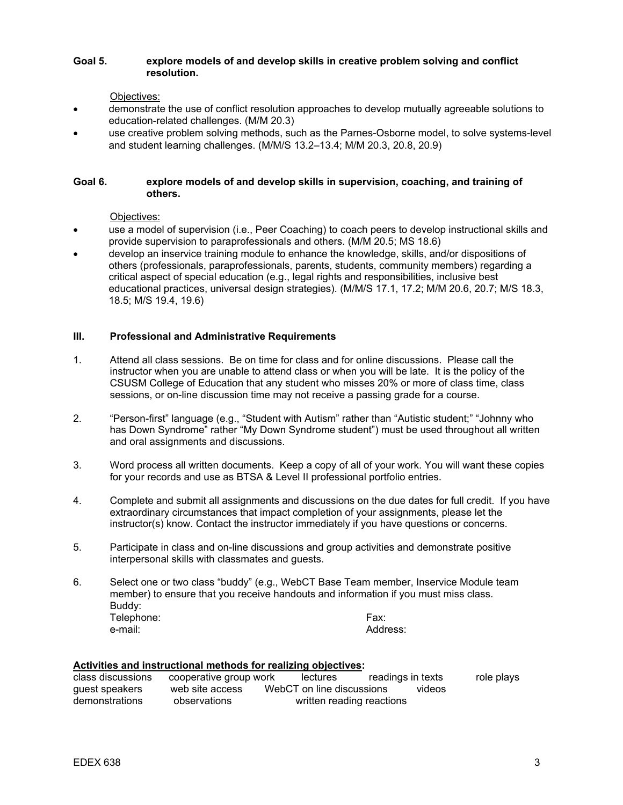### **Goal 5. explore models of and develop skills in creative problem solving and conflict resolution.**

Objectives:

- demonstrate the use of conflict resolution approaches to develop mutually agreeable solutions to education-related challenges. (M/M 20.3)
- use creative problem solving methods, such as the Parnes-Osborne model, to solve systems-level and student learning challenges. (M/M/S 13.2–13.4; M/M 20.3, 20.8, 20.9)

### **Goal 6. explore models of and develop skills in supervision, coaching, and training of others.**

Objectives:

- use a model of supervision (i.e., Peer Coaching) to coach peers to develop instructional skills and provide supervision to paraprofessionals and others. (M/M 20.5; MS 18.6)
- develop an inservice training module to enhance the knowledge, skills, and/or dispositions of others (professionals, paraprofessionals, parents, students, community members) regarding a critical aspect of special education (e.g., legal rights and responsibilities, inclusive best educational practices, universal design strategies). (M/M/S 17.1, 17.2; M/M 20.6, 20.7; M/S 18.3, 18.5; M/S 19.4, 19.6)

### **III. Professional and Administrative Requirements**

- 1. Attend all class sessions. Be on time for class and for online discussions. Please call the instructor when you are unable to attend class or when you will be late. It is the policy of the CSUSM College of Education that any student who misses 20% or more of class time, class sessions, or on-line discussion time may not receive a passing grade for a course.
- 2. "Person-first" language (e.g., "Student with Autism" rather than "Autistic student;" "Johnny who has Down Syndrome" rather "My Down Syndrome student") must be used throughout all written and oral assignments and discussions.
- 3. Word process all written documents. Keep a copy of all of your work. You will want these copies for your records and use as BTSA & Level II professional portfolio entries.
- 4. Complete and submit all assignments and discussions on the due dates for full credit. If you have extraordinary circumstances that impact completion of your assignments, please let the instructor(s) know. Contact the instructor immediately if you have questions or concerns.
- 5. Participate in class and on-line discussions and group activities and demonstrate positive interpersonal skills with classmates and guests.
- 6. Select one or two class "buddy" (e.g., WebCT Base Team member, Inservice Module team member) to ensure that you receive handouts and information if you must miss class. Buddy: Telephone: The Exception of the Except of the Except of Telephone: The Except of Telephone: The Except of Tele e-mail: e-mail: e-mail: e-mail: e-mail: e-mail: e-mail: e-mail: e-mail: e-mail: e-mail: e-mail: e-mail: e-mail: e-mail: e-mail: e-mail: e-mail: e-mail: e-mail: e-mail: e-mail: e-mail: e-mail: e-mail: e-mail: e-mail: e-mail

### **Activities and instructional methods for realizing objectives:**  class discussions cooperative group work lectures readings in texts role plays guest speakers web site access WebCT on line discussions videos demonstrations observations written reading reactions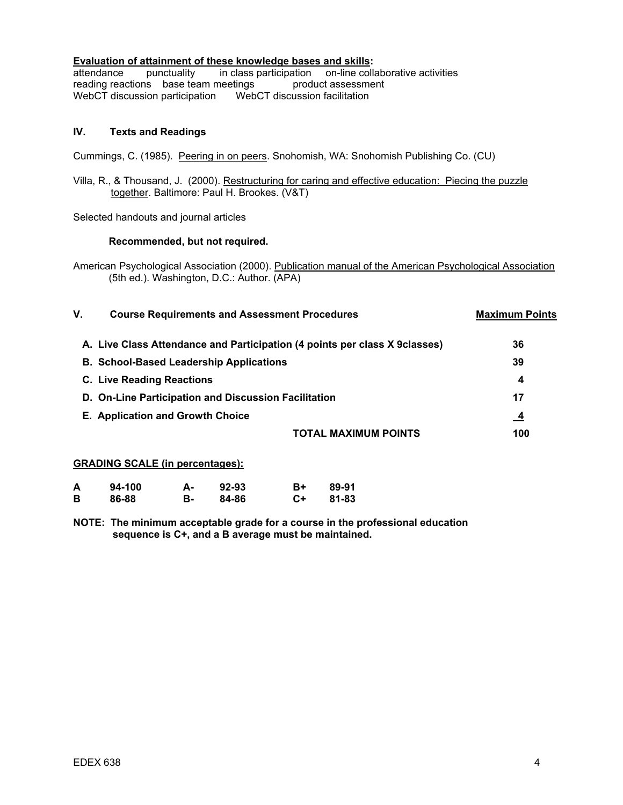### **Evaluation of attainment of these knowledge bases and skills:**

attendance punctuality in class participation on-line collaborative activities reading reactions base team meetings product assessment reading reactions base team meetings WebCT discussion participationWebCT discussion facilitation

### **IV. Texts and Readings**

Cummings, C. (1985). Peering in on peers. Snohomish, WA: Snohomish Publishing Co. (CU)

Villa, R., & Thousand, J. (2000). Restructuring for caring and effective education: Piecing the puzzle together. Baltimore: Paul H. Brookes. (V&T)

Selected handouts and journal articles

### **Recommended, but not required.**

American Psychological Association (2000). Publication manual of the American Psychological Association (5th ed.). Washington, D.C.: Author. (APA)

| A. Live Class Attendance and Participation (4 points per class X 9 classes)<br>36<br><b>B. School-Based Leadership Applications</b><br>39<br><b>C. Live Reading Reactions</b><br>4<br>17<br>D. On-Line Participation and Discussion Facilitation<br>E. Application and Growth Choice<br>-4<br>TOTAL MAXIMUM POINTS | ۷. | <b>Course Requirements and Assessment Procedures</b> | <b>Maximum Points</b> |
|--------------------------------------------------------------------------------------------------------------------------------------------------------------------------------------------------------------------------------------------------------------------------------------------------------------------|----|------------------------------------------------------|-----------------------|
|                                                                                                                                                                                                                                                                                                                    |    |                                                      |                       |
|                                                                                                                                                                                                                                                                                                                    |    |                                                      |                       |
|                                                                                                                                                                                                                                                                                                                    |    |                                                      |                       |
|                                                                                                                                                                                                                                                                                                                    |    |                                                      |                       |
|                                                                                                                                                                                                                                                                                                                    |    |                                                      |                       |
|                                                                                                                                                                                                                                                                                                                    |    |                                                      | 100                   |

#### **GRADING SCALE (in percentages):**

| A | 94-100 | А- | 92-93 | B+ | 89-91 |
|---|--------|----|-------|----|-------|
| В | 86-88  | в- | 84-86 | C+ | 81-83 |

**NOTE: The minimum acceptable grade for a course in the professional education sequence is C+, and a B average must be maintained.**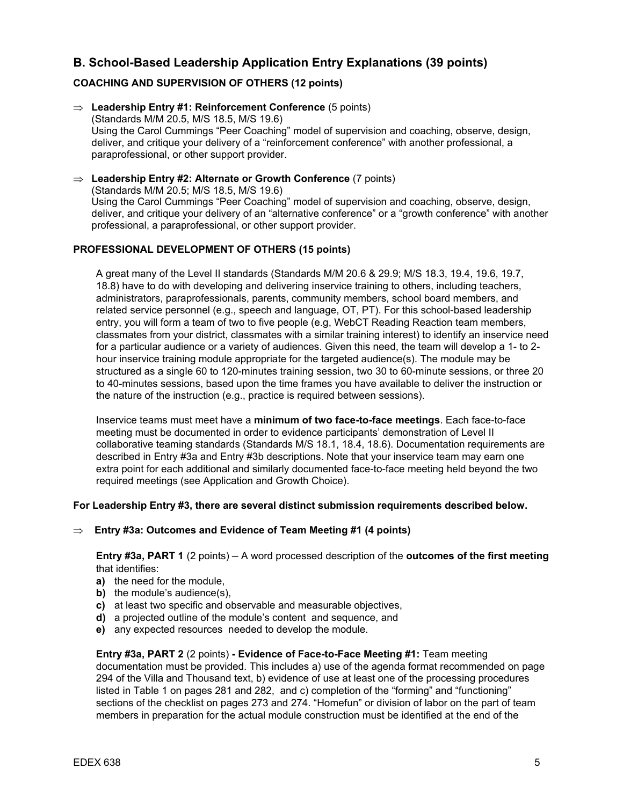# **B. School-Based Leadership Application Entry Explanations (39 points)**

### **COACHING AND SUPERVISION OF OTHERS (12 points)**

- ⇒ **Leadership Entry #1: Reinforcement Conference** (5 points) (Standards M/M 20.5, M/S 18.5, M/S 19.6) Using the Carol Cummings "Peer Coaching" model of supervision and coaching, observe, design, deliver, and critique your delivery of a "reinforcement conference" with another professional, a paraprofessional, or other support provider.
- ⇒ **Leadership Entry #2: Alternate or Growth Conference** (7 points) (Standards M/M 20.5; M/S 18.5, M/S 19.6) Using the Carol Cummings "Peer Coaching" model of supervision and coaching, observe, design, deliver, and critique your delivery of an "alternative conference" or a "growth conference" with another professional, a paraprofessional, or other support provider.

### **PROFESSIONAL DEVELOPMENT OF OTHERS (15 points)**

 A great many of the Level II standards (Standards M/M 20.6 & 29.9; M/S 18.3, 19.4, 19.6, 19.7, 18.8) have to do with developing and delivering inservice training to others, including teachers, administrators, paraprofessionals, parents, community members, school board members, and related service personnel (e.g., speech and language, OT, PT). For this school-based leadership entry, you will form a team of two to five people (e.g, WebCT Reading Reaction team members, classmates from your district, classmates with a similar training interest) to identify an inservice need for a particular audience or a variety of audiences. Given this need, the team will develop a 1- to 2 hour inservice training module appropriate for the targeted audience(s). The module may be structured as a single 60 to 120-minutes training session, two 30 to 60-minute sessions, or three 20 to 40-minutes sessions, based upon the time frames you have available to deliver the instruction or the nature of the instruction (e.g., practice is required between sessions).

 Inservice teams must meet have a **minimum of two face-to-face meetings**. Each face-to-face meeting must be documented in order to evidence participants' demonstration of Level II collaborative teaming standards (Standards M/S 18.1, 18.4, 18.6). Documentation requirements are described in Entry #3a and Entry #3b descriptions. Note that your inservice team may earn one extra point for each additional and similarly documented face-to-face meeting held beyond the two required meetings (see Application and Growth Choice).

### **For Leadership Entry #3, there are several distinct submission requirements described below.**

⇒ **Entry #3a: Outcomes and Evidence of Team Meeting #1 (4 points)**

**Entry #3a, PART 1** (2 points) **–** A word processed description of the **outcomes of the first meeting**  that identifies:

- **a)** the need for the module,
- **b)** the module's audience(s),
- **c)** at least two specific and observable and measurable objectives,
- **d)** a projected outline of the module's content and sequence, and
- **e)** any expected resources needed to develop the module.

**Entry #3a, PART 2** (2 points) **- Evidence of Face-to-Face Meeting #1:** Team meeting documentation must be provided. This includes a) use of the agenda format recommended on page 294 of the Villa and Thousand text, b) evidence of use at least one of the processing procedures listed in Table 1 on pages 281 and 282, and c) completion of the "forming" and "functioning" sections of the checklist on pages 273 and 274. "Homefun" or division of labor on the part of team members in preparation for the actual module construction must be identified at the end of the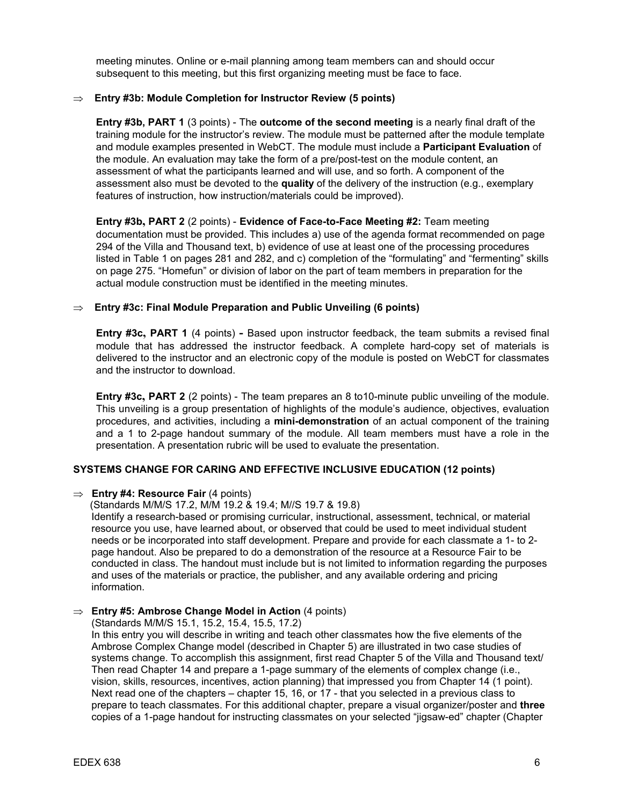meeting minutes. Online or e-mail planning among team members can and should occur subsequent to this meeting, but this first organizing meeting must be face to face.

#### ⇒ **Entry #3b: Module Completion for Instructor Review (5 points)**

**Entry #3b, PART 1** (3 points) - The **outcome of the second meeting** is a nearly final draft of the training module for the instructor's review. The module must be patterned after the module template and module examples presented in WebCT. The module must include a **Participant Evaluation** of the module. An evaluation may take the form of a pre/post-test on the module content, an assessment of what the participants learned and will use, and so forth. A component of the assessment also must be devoted to the **quality** of the delivery of the instruction (e.g., exemplary features of instruction, how instruction/materials could be improved).

**Entry #3b, PART 2** (2 points) - **Evidence of Face-to-Face Meeting #2:** Team meeting documentation must be provided. This includes a) use of the agenda format recommended on page 294 of the Villa and Thousand text, b) evidence of use at least one of the processing procedures listed in Table 1 on pages 281 and 282, and c) completion of the "formulating" and "fermenting" skills on page 275. "Homefun" or division of labor on the part of team members in preparation for the actual module construction must be identified in the meeting minutes.

### ⇒ **Entry #3c: Final Module Preparation and Public Unveiling (6 points)**

**Entry #3c, PART 1** (4 points) **-** Based upon instructor feedback, the team submits a revised final module that has addressed the instructor feedback. A complete hard-copy set of materials is delivered to the instructor and an electronic copy of the module is posted on WebCT for classmates and the instructor to download.

**Entry #3c, PART 2** (2 points) - The team prepares an 8 to10-minute public unveiling of the module. This unveiling is a group presentation of highlights of the module's audience, objectives, evaluation procedures, and activities, including a **mini-demonstration** of an actual component of the training and a 1 to 2-page handout summary of the module. All team members must have a role in the presentation. A presentation rubric will be used to evaluate the presentation.

### **SYSTEMS CHANGE FOR CARING AND EFFECTIVE INCLUSIVE EDUCATION (12 points)**

#### ⇒ **Entry #4: Resource Fair** (4 points)

(Standards M/M/S 17.2, M/M 19.2 & 19.4; M//S 19.7 & 19.8)

Identify a research-based or promising curricular, instructional, assessment, technical, or material resource you use, have learned about, or observed that could be used to meet individual student needs or be incorporated into staff development. Prepare and provide for each classmate a 1- to 2 page handout. Also be prepared to do a demonstration of the resource at a Resource Fair to be conducted in class. The handout must include but is not limited to information regarding the purposes and uses of the materials or practice, the publisher, and any available ordering and pricing information.

#### ⇒ **Entry #5: Ambrose Change Model in Action** (4 points)

(Standards M/M/S 15.1, 15.2, 15.4, 15.5, 17.2)

In this entry you will describe in writing and teach other classmates how the five elements of the Ambrose Complex Change model (described in Chapter 5) are illustrated in two case studies of systems change. To accomplish this assignment, first read Chapter 5 of the Villa and Thousand text/ Then read Chapter 14 and prepare a 1-page summary of the elements of complex change (i.e., vision, skills, resources, incentives, action planning) that impressed you from Chapter 14 (1 point). Next read one of the chapters – chapter 15, 16, or 17 - that you selected in a previous class to prepare to teach classmates. For this additional chapter, prepare a visual organizer/poster and **three**  copies of a 1-page handout for instructing classmates on your selected "jigsaw-ed" chapter (Chapter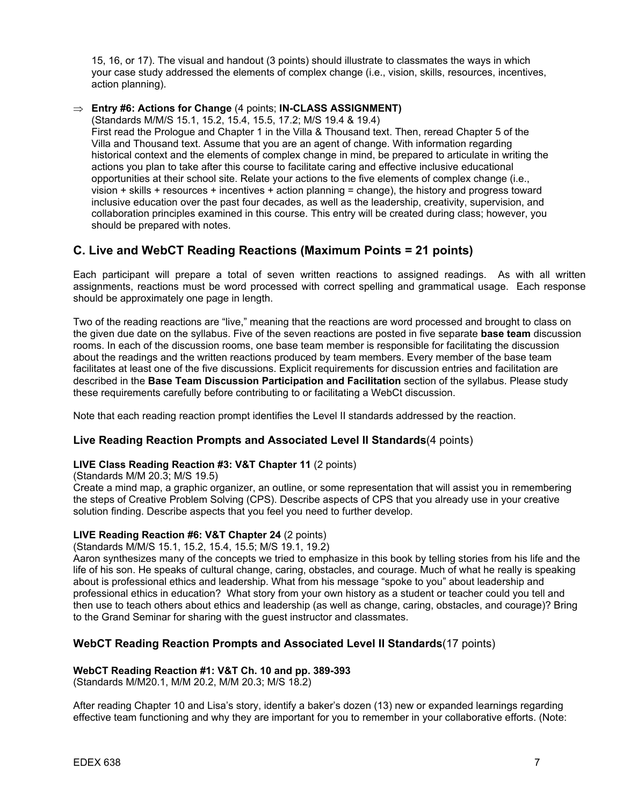15, 16, or 17). The visual and handout (3 points) should illustrate to classmates the ways in which your case study addressed the elements of complex change (i.e., vision, skills, resources, incentives, action planning).

### ⇒ **Entry #6: Actions for Change** (4 points; **IN-CLASS ASSIGNMENT)**

(Standards M/M/S 15.1, 15.2, 15.4, 15.5, 17.2; M/S 19.4 & 19.4)

First read the Prologue and Chapter 1 in the Villa & Thousand text. Then, reread Chapter 5 of the Villa and Thousand text. Assume that you are an agent of change. With information regarding historical context and the elements of complex change in mind, be prepared to articulate in writing the actions you plan to take after this course to facilitate caring and effective inclusive educational opportunities at their school site. Relate your actions to the five elements of complex change (i.e., vision + skills + resources + incentives + action planning = change), the history and progress toward inclusive education over the past four decades, as well as the leadership, creativity, supervision, and collaboration principles examined in this course. This entry will be created during class; however, you should be prepared with notes.

## **C. Live and WebCT Reading Reactions (Maximum Points = 21 points)**

Each participant will prepare a total of seven written reactions to assigned readings. As with all written assignments, reactions must be word processed with correct spelling and grammatical usage. Each response should be approximately one page in length.

Two of the reading reactions are "live," meaning that the reactions are word processed and brought to class on the given due date on the syllabus. Five of the seven reactions are posted in five separate **base team** discussion rooms. In each of the discussion rooms, one base team member is responsible for facilitating the discussion about the readings and the written reactions produced by team members. Every member of the base team facilitates at least one of the five discussions. Explicit requirements for discussion entries and facilitation are described in the **Base Team Discussion Participation and Facilitation** section of the syllabus. Please study these requirements carefully before contributing to or facilitating a WebCt discussion.

Note that each reading reaction prompt identifies the Level II standards addressed by the reaction.

### **Live Reading Reaction Prompts and Associated Level II Standards**(4 points)

### **LIVE Class Reading Reaction #3: V&T Chapter 11** (2 points)

(Standards M/M 20.3; M/S 19.5)

Create a mind map, a graphic organizer, an outline, or some representation that will assist you in remembering the steps of Creative Problem Solving (CPS). Describe aspects of CPS that you already use in your creative solution finding. Describe aspects that you feel you need to further develop.

### **LIVE Reading Reaction #6: V&T Chapter 24** (2 points)

(Standards M/M/S 15.1, 15.2, 15.4, 15.5; M/S 19.1, 19.2)

Aaron synthesizes many of the concepts we tried to emphasize in this book by telling stories from his life and the life of his son. He speaks of cultural change, caring, obstacles, and courage. Much of what he really is speaking about is professional ethics and leadership. What from his message "spoke to you" about leadership and professional ethics in education? What story from your own history as a student or teacher could you tell and then use to teach others about ethics and leadership (as well as change, caring, obstacles, and courage)? Bring to the Grand Seminar for sharing with the guest instructor and classmates.

### **WebCT Reading Reaction Prompts and Associated Level II Standards**(17 points)

### **WebCT Reading Reaction #1: V&T Ch. 10 and pp. 389-393**

(Standards M/M20.1, M/M 20.2, M/M 20.3; M/S 18.2)

After reading Chapter 10 and Lisa's story, identify a baker's dozen (13) new or expanded learnings regarding effective team functioning and why they are important for you to remember in your collaborative efforts. (Note: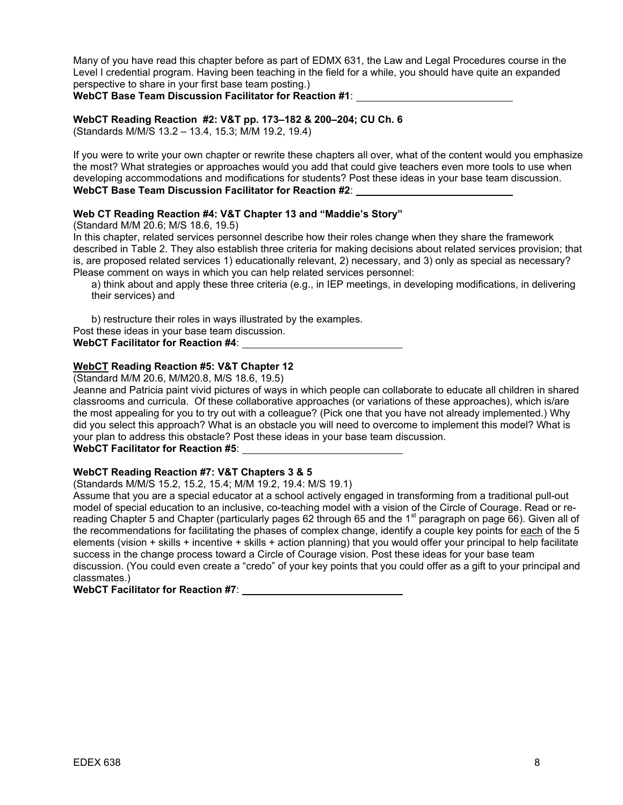Many of you have read this chapter before as part of EDMX 631, the Law and Legal Procedures course in the Level I credential program. Having been teaching in the field for a while, you should have quite an expanded perspective to share in your first base team posting.)

**WebCT Base Team Discussion Facilitator for Reaction #1**:

### **WebCT Reading Reaction #2: V&T pp. 173–182 & 200–204; CU Ch. 6**

(Standards M/M/S 13.2 – 13.4, 15.3; M/M 19.2, 19.4)

If you were to write your own chapter or rewrite these chapters all over, what of the content would you emphasize the most? What strategies or approaches would you add that could give teachers even more tools to use when developing accommodations and modifications for students? Post these ideas in your base team discussion. **WebCT Base Team Discussion Facilitator for Reaction #2**:

### **Web CT Reading Reaction #4: V&T Chapter 13 and "Maddie's Story"**

(Standard M/M 20.6; M/S 18.6, 19.5)

In this chapter, related services personnel describe how their roles change when they share the framework described in Table 2. They also establish three criteria for making decisions about related services provision; that is, are proposed related services 1) educationally relevant, 2) necessary, and 3) only as special as necessary? Please comment on ways in which you can help related services personnel:

a) think about and apply these three criteria (e.g., in IEP meetings, in developing modifications, in delivering their services) and

b) restructure their roles in ways illustrated by the examples. Post these ideas in your base team discussion. **WebCT Facilitator for Reaction #4**:

### **WebCT Reading Reaction #5: V&T Chapter 12**

(Standard M/M 20.6, M/M20.8, M/S 18.6, 19.5)

Jeanne and Patricia paint vivid pictures of ways in which people can collaborate to educate all children in shared classrooms and curricula. Of these collaborative approaches (or variations of these approaches), which is/are the most appealing for you to try out with a colleague? (Pick one that you have not already implemented.) Why did you select this approach? What is an obstacle you will need to overcome to implement this model? What is your plan to address this obstacle? Post these ideas in your base team discussion.

**WebCT Facilitator for Reaction #5**:

### **WebCT Reading Reaction #7: V&T Chapters 3 & 5**

(Standards M/M/S 15.2, 15.2, 15.4; M/M 19.2, 19.4: M/S 19.1)

Assume that you are a special educator at a school actively engaged in transforming from a traditional pull-out model of special education to an inclusive, co-teaching model with a vision of the Circle of Courage. Read or rereading Chapter 5 and Chapter (particularly pages 62 through 65 and the 1<sup>st</sup> paragraph on page 66). Given all of the recommendations for facilitating the phases of complex change, identify a couple key points for each of the 5 elements (vision + skills + incentive + skills + action planning) that you would offer your principal to help facilitate success in the change process toward a Circle of Courage vision. Post these ideas for your base team discussion. (You could even create a "credo" of your key points that you could offer as a gift to your principal and classmates.)

### **WebCT Facilitator for Reaction #7**: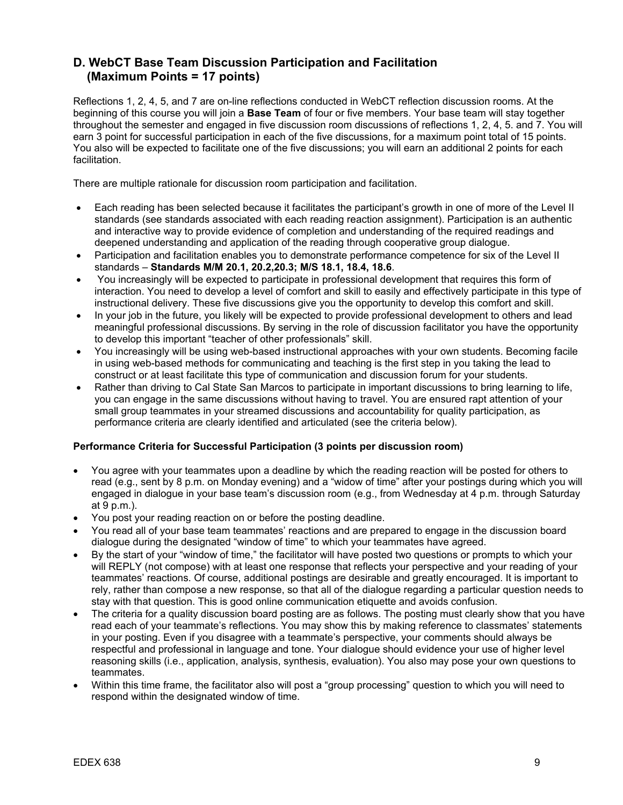# **D. WebCT Base Team Discussion Participation and Facilitation (Maximum Points = 17 points)**

Reflections 1, 2, 4, 5, and 7 are on-line reflections conducted in WebCT reflection discussion rooms. At the beginning of this course you will join a **Base Team** of four or five members. Your base team will stay together throughout the semester and engaged in five discussion room discussions of reflections 1, 2, 4, 5. and 7. You will earn 3 point for successful participation in each of the five discussions, for a maximum point total of 15 points. You also will be expected to facilitate one of the five discussions; you will earn an additional 2 points for each facilitation.

There are multiple rationale for discussion room participation and facilitation.

- Each reading has been selected because it facilitates the participant's growth in one of more of the Level II standards (see standards associated with each reading reaction assignment). Participation is an authentic and interactive way to provide evidence of completion and understanding of the required readings and deepened understanding and application of the reading through cooperative group dialogue.
- Participation and facilitation enables you to demonstrate performance competence for six of the Level II standards – **Standards M/M 20.1, 20.2,20.3; M/S 18.1, 18.4, 18.6**.
- You increasingly will be expected to participate in professional development that requires this form of interaction. You need to develop a level of comfort and skill to easily and effectively participate in this type of instructional delivery. These five discussions give you the opportunity to develop this comfort and skill.
- In your job in the future, you likely will be expected to provide professional development to others and lead meaningful professional discussions. By serving in the role of discussion facilitator you have the opportunity to develop this important "teacher of other professionals" skill.
- You increasingly will be using web-based instructional approaches with your own students. Becoming facile in using web-based methods for communicating and teaching is the first step in you taking the lead to construct or at least facilitate this type of communication and discussion forum for your students.
- Rather than driving to Cal State San Marcos to participate in important discussions to bring learning to life, you can engage in the same discussions without having to travel. You are ensured rapt attention of your small group teammates in your streamed discussions and accountability for quality participation, as performance criteria are clearly identified and articulated (see the criteria below).

### **Performance Criteria for Successful Participation (3 points per discussion room)**

- You agree with your teammates upon a deadline by which the reading reaction will be posted for others to read (e.g., sent by 8 p.m. on Monday evening) and a "widow of time" after your postings during which you will engaged in dialogue in your base team's discussion room (e.g., from Wednesday at 4 p.m. through Saturday at 9 p.m.).
- You post your reading reaction on or before the posting deadline.
- You read all of your base team teammates' reactions and are prepared to engage in the discussion board dialogue during the designated "window of time" to which your teammates have agreed.
- By the start of your "window of time," the facilitator will have posted two questions or prompts to which your will REPLY (not compose) with at least one response that reflects your perspective and your reading of your teammates' reactions. Of course, additional postings are desirable and greatly encouraged. It is important to rely, rather than compose a new response, so that all of the dialogue regarding a particular question needs to stay with that question. This is good online communication etiquette and avoids confusion.
- The criteria for a quality discussion board posting are as follows. The posting must clearly show that you have read each of your teammate's reflections. You may show this by making reference to classmates' statements in your posting. Even if you disagree with a teammate's perspective, your comments should always be respectful and professional in language and tone. Your dialogue should evidence your use of higher level reasoning skills (i.e., application, analysis, synthesis, evaluation). You also may pose your own questions to teammates.
- Within this time frame, the facilitator also will post a "group processing" question to which you will need to respond within the designated window of time.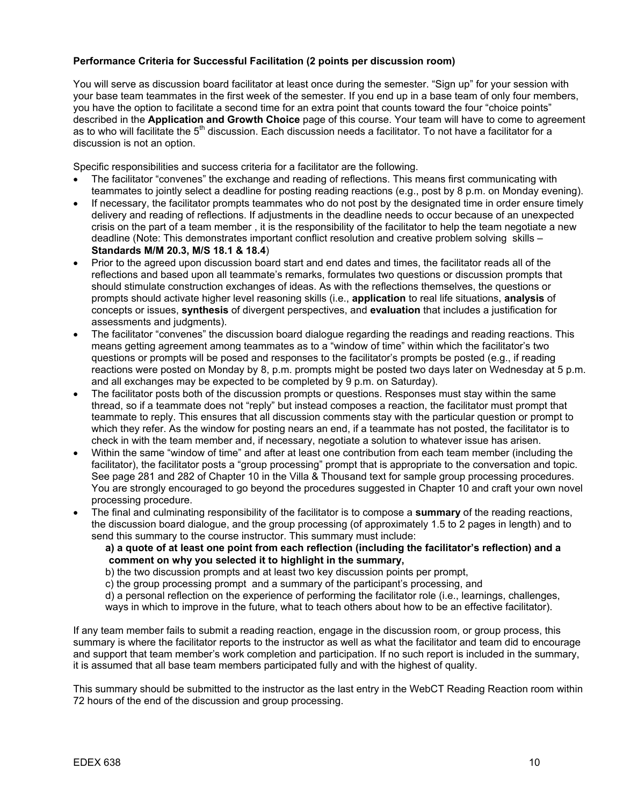### **Performance Criteria for Successful Facilitation (2 points per discussion room)**

You will serve as discussion board facilitator at least once during the semester. "Sign up" for your session with your base team teammates in the first week of the semester. If you end up in a base team of only four members, you have the option to facilitate a second time for an extra point that counts toward the four "choice points" described in the **Application and Growth Choice** page of this course. Your team will have to come to agreement as to who will facilitate the 5<sup>th</sup> discussion. Each discussion needs a facilitator. To not have a facilitator for a discussion is not an option.

Specific responsibilities and success criteria for a facilitator are the following.

- The facilitator "convenes" the exchange and reading of reflections. This means first communicating with teammates to jointly select a deadline for posting reading reactions (e.g., post by 8 p.m. on Monday evening).
- If necessary, the facilitator prompts teammates who do not post by the designated time in order ensure timely delivery and reading of reflections. If adjustments in the deadline needs to occur because of an unexpected crisis on the part of a team member , it is the responsibility of the facilitator to help the team negotiate a new deadline (Note: This demonstrates important conflict resolution and creative problem solving skills – **Standards M/M 20.3, M/S 18.1 & 18.4**)
- Prior to the agreed upon discussion board start and end dates and times, the facilitator reads all of the reflections and based upon all teammate's remarks, formulates two questions or discussion prompts that should stimulate construction exchanges of ideas. As with the reflections themselves, the questions or prompts should activate higher level reasoning skills (i.e., **application** to real life situations, **analysis** of concepts or issues, **synthesis** of divergent perspectives, and **evaluation** that includes a justification for assessments and judgments).
- The facilitator "convenes" the discussion board dialogue regarding the readings and reading reactions. This means getting agreement among teammates as to a "window of time" within which the facilitator's two questions or prompts will be posed and responses to the facilitator's prompts be posted (e.g., if reading reactions were posted on Monday by 8, p.m. prompts might be posted two days later on Wednesday at 5 p.m. and all exchanges may be expected to be completed by 9 p.m. on Saturday).
- The facilitator posts both of the discussion prompts or questions. Responses must stay within the same thread, so if a teammate does not "reply" but instead composes a reaction, the facilitator must prompt that teammate to reply. This ensures that all discussion comments stay with the particular question or prompt to which they refer. As the window for posting nears an end, if a teammate has not posted, the facilitator is to check in with the team member and, if necessary, negotiate a solution to whatever issue has arisen.
- Within the same "window of time" and after at least one contribution from each team member (including the facilitator), the facilitator posts a "group processing" prompt that is appropriate to the conversation and topic. See page 281 and 282 of Chapter 10 in the Villa & Thousand text for sample group processing procedures. You are strongly encouraged to go beyond the procedures suggested in Chapter 10 and craft your own novel processing procedure.
- The final and culminating responsibility of the facilitator is to compose a **summary** of the reading reactions, the discussion board dialogue, and the group processing (of approximately 1.5 to 2 pages in length) and to send this summary to the course instructor. This summary must include:
	- **a) a quote of at least one point from each reflection (including the facilitator's reflection) and a comment on why you selected it to highlight in the summary,**

b) the two discussion prompts and at least two key discussion points per prompt,

c) the group processing prompt and a summary of the participant's processing, and

d) a personal reflection on the experience of performing the facilitator role (i.e., learnings, challenges,

ways in which to improve in the future, what to teach others about how to be an effective facilitator).

If any team member fails to submit a reading reaction, engage in the discussion room, or group process, this summary is where the facilitator reports to the instructor as well as what the facilitator and team did to encourage and support that team member's work completion and participation. If no such report is included in the summary, it is assumed that all base team members participated fully and with the highest of quality.

This summary should be submitted to the instructor as the last entry in the WebCT Reading Reaction room within 72 hours of the end of the discussion and group processing.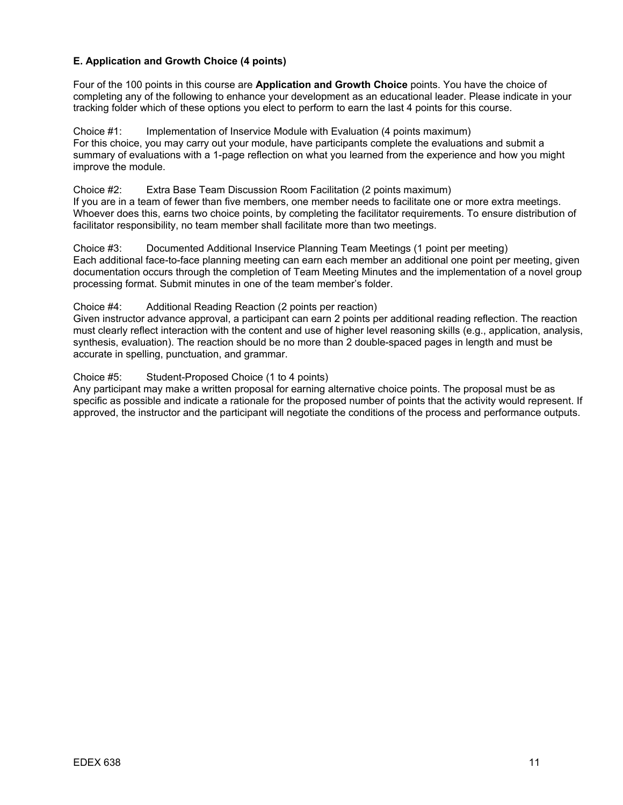### **E. Application and Growth Choice (4 points)**

Four of the 100 points in this course are **Application and Growth Choice** points. You have the choice of completing any of the following to enhance your development as an educational leader. Please indicate in your tracking folder which of these options you elect to perform to earn the last 4 points for this course.

Choice #1: Implementation of Inservice Module with Evaluation (4 points maximum) For this choice, you may carry out your module, have participants complete the evaluations and submit a summary of evaluations with a 1-page reflection on what you learned from the experience and how you might improve the module.

Choice #2: Extra Base Team Discussion Room Facilitation (2 points maximum) If you are in a team of fewer than five members, one member needs to facilitate one or more extra meetings. Whoever does this, earns two choice points, by completing the facilitator requirements. To ensure distribution of facilitator responsibility, no team member shall facilitate more than two meetings.

Choice #3: Documented Additional Inservice Planning Team Meetings (1 point per meeting) Each additional face-to-face planning meeting can earn each member an additional one point per meeting, given documentation occurs through the completion of Team Meeting Minutes and the implementation of a novel group processing format. Submit minutes in one of the team member's folder.

### Choice #4: Additional Reading Reaction (2 points per reaction)

Given instructor advance approval, a participant can earn 2 points per additional reading reflection. The reaction must clearly reflect interaction with the content and use of higher level reasoning skills (e.g., application, analysis, synthesis, evaluation). The reaction should be no more than 2 double-spaced pages in length and must be accurate in spelling, punctuation, and grammar.

Choice #5: Student-Proposed Choice (1 to 4 points)

Any participant may make a written proposal for earning alternative choice points. The proposal must be as specific as possible and indicate a rationale for the proposed number of points that the activity would represent. If approved, the instructor and the participant will negotiate the conditions of the process and performance outputs.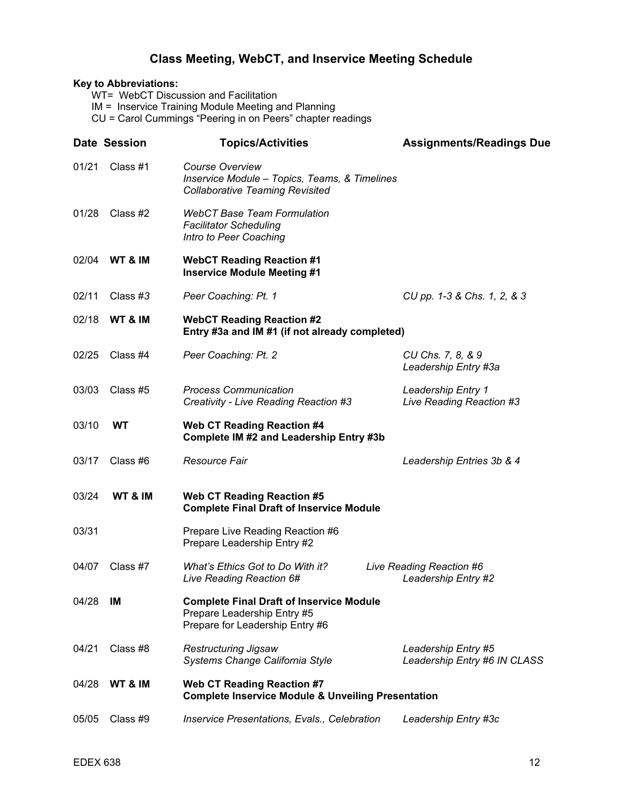# **Class Meeting, WebCT, and Inservice Meeting Schedule**

# **Key to Abbreviations:**  WT= WebCT Discussion and Facilitation IM = Inservice Training Module Meeting and Planning CU = Carol Cummings "Peering in on Peers" chapter readings **Date Session Topics/Activities Assignments/Readings Due** 01/21 Class #1 *Course Overview Inservice Module – Topics, Teams, & Timelines Collaborative Teaming Revisited*  01/28 Class #2 *WebCT Base Team Formulation Facilitator Scheduling Intro to Peer Coaching* 02/04 **WT & IM WebCT Reading Reaction #1 Inservice Module Meeting #1**  02/11 Class #*3 Peer Coaching: Pt. 1 CU pp. 1-3 & Chs. 1, 2, & 3*  02/18 **WT & IM WebCT Reading Reaction #2 Entry #3a and IM #1 (if not already completed)**  02/25 Class #4 *Peer Coaching: Pt. 2 CU Chs. 7, 8, & 9 Leadership Entry #3a*  03/03 Class #5 *Process Communication*<br>Creativity - Live Reading Reaction #3 *Live Reading Reaction* #3 *Creativity - Live Reading Reaction #3 Live Reading Reaction #3*  03/10 **WT Web CT Reading Reaction #4 Complete IM #2 and Leadership Entry #3b**  03/17 Class #6 *Resource Fair Leadership Entries 3b & 4*  03/24 **WT & IM Web CT Reading Reaction #5 Complete Final Draft of Inservice Module**  03/31 Prepare Live Reading Reaction #6 Prepare Leadership Entry #2 04/07 Class #7 *What's Ethics Got to Do With it? Live Reading Reaction #6 Live Reading Reaction 6# Leadership Entry #2*  04/28 **IM Complete Final Draft of Inservice Module**  Prepare Leadership Entry #5 Prepare for Leadership Entry #6 04/21 Class #8 *Restructuring Jigsaw Leadership Entry #5 Systems Change California Style Leadership Entry #6 IN CLASS* 04/28 **WT & IM Web CT Reading Reaction #7 Complete Inservice Module & Unveiling Presentation**  05/05 Class #9 *Inservice Presentations, Evals., Celebration Leadership Entry #3c*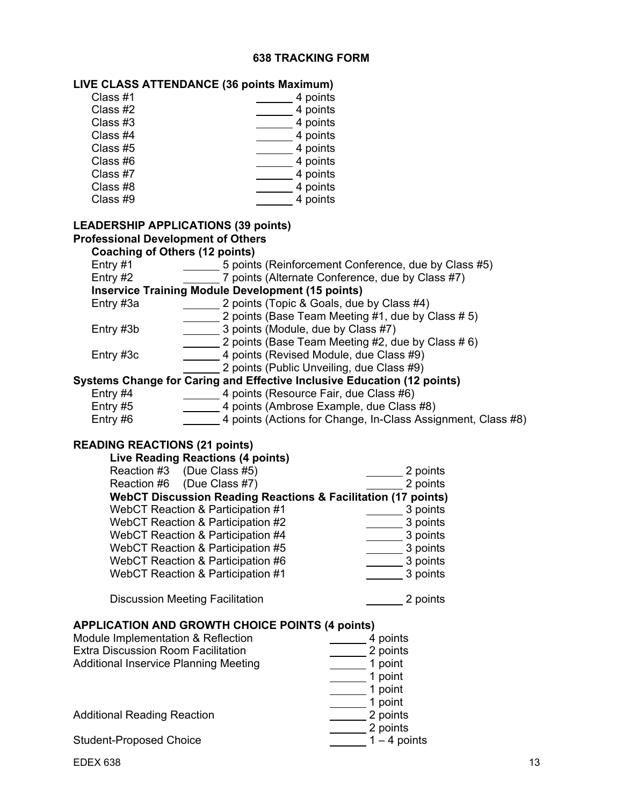# **638 TRACKING FORM**

**LIVE CLASS ATTENDANCE (36 points Maximum)** 

| Class #1                                                                                | 4 points                                                                       |
|-----------------------------------------------------------------------------------------|--------------------------------------------------------------------------------|
| Class #2                                                                                | 4 points                                                                       |
| Class #3                                                                                | 4 points                                                                       |
| Class #4                                                                                | 4 points                                                                       |
| Class #5                                                                                | 4 points                                                                       |
| Class #6                                                                                | 4 points                                                                       |
| Class #7                                                                                | 4 points                                                                       |
| Class #8                                                                                | 4 points                                                                       |
| Class #9                                                                                | 4 points                                                                       |
|                                                                                         |                                                                                |
| <b>LEADERSHIP APPLICATIONS (39 points)</b><br><b>Professional Development of Others</b> |                                                                                |
| <b>Coaching of Others (12 points)</b>                                                   |                                                                                |
| Entry $#1$<br>$\frac{1}{1}$                                                             | 5 points (Reinforcement Conference, due by Class #5)                           |
| Entry #2                                                                                | 7 points (Alternate Conference, due by Class #7)                               |
| <b>Inservice Training Module Development (15 points)</b>                                |                                                                                |
| Entry #3a                                                                               | 2 points (Topic & Goals, due by Class #4)                                      |
|                                                                                         | 2 points (Base Team Meeting #1, due by Class #5)                               |
| Entry #3b                                                                               | $\frac{1}{2}$ 3 points (Module, due by Class #7)                               |
|                                                                                         | 2 points (Base Team Meeting #2, due by Class # 6)                              |
| Entry #3c                                                                               | 4 points (Revised Module, due Class #9)                                        |
|                                                                                         | 2 points (Public Unveiling, due Class #9)                                      |
|                                                                                         | <b>Systems Change for Caring and Effective Inclusive Education (12 points)</b> |
| Entry #4                                                                                | 4 points (Resource Fair, due Class #6)                                         |
| Entry #5                                                                                | 4 points (Ambrose Example, due Class #8)                                       |
| Entry #6                                                                                | 4 points (Actions for Change, In-Class Assignment, Class #8)                   |
| <b>READING REACTIONS (21 points)</b><br><b>Live Reading Reactions (4 points)</b>        |                                                                                |
| Reaction #3 (Due Class #5)                                                              | 2 points                                                                       |
| Reaction #6 (Due Class #7)                                                              | 2 points                                                                       |
|                                                                                         | <b>WebCT Discussion Reading Reactions &amp; Facilitation (17 points)</b>       |
| WebCT Reaction & Participation #1                                                       |                                                                                |
| WebCT Reaction & Participation #2                                                       | 3 points                                                                       |
| WebCT Reaction & Participation #4                                                       | 3 points                                                                       |
| WebCT Reaction & Participation #5                                                       | 3 points                                                                       |
| WebCT Reaction & Participation #6                                                       | 3 points                                                                       |
| WebCT Reaction & Participation #1                                                       | 3 points                                                                       |
|                                                                                         |                                                                                |
| <b>Discussion Meeting Facilitation</b>                                                  | 2 points                                                                       |
|                                                                                         |                                                                                |
| <b>APPLICATION AND GROWTH CHOICE POINTS (4 points)</b>                                  |                                                                                |
| Module Implementation & Reflection<br><b>Extra Discussion Room Facilitation</b>         | 4 points                                                                       |
| <b>Additional Inservice Planning Meeting</b>                                            | 2 points<br>1 point                                                            |
|                                                                                         | 1 point                                                                        |
|                                                                                         | 1 point                                                                        |
|                                                                                         | 1 point                                                                        |
| <b>Additional Reading Reaction</b>                                                      | 2 points                                                                       |
|                                                                                         | 2 points                                                                       |
| <b>Student-Proposed Choice</b>                                                          | $1-4$ points                                                                   |
| <b>EDEX 638</b>                                                                         | 13                                                                             |
|                                                                                         |                                                                                |